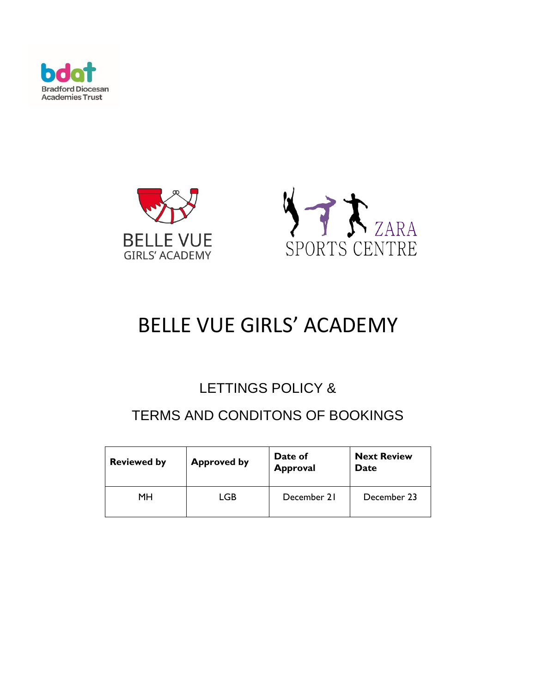





# BELLE VUE GIRLS' ACADEMY

# LETTINGS POLICY &

# TERMS AND CONDITONS OF BOOKINGS

| <b>Reviewed by</b> | <b>Approved by</b> | Date of<br><b>Approval</b> | <b>Next Review</b><br>Date |
|--------------------|--------------------|----------------------------|----------------------------|
| MН                 | LGB                | December 21                | December 23                |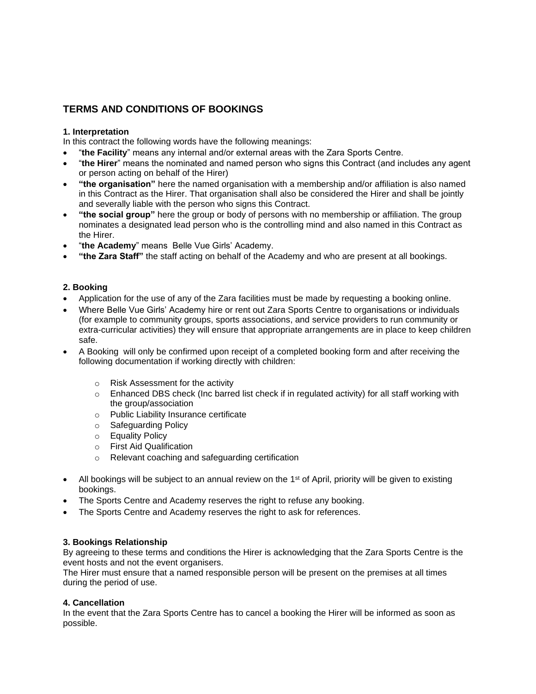# **TERMS AND CONDITIONS OF BOOKINGS**

#### **1. Interpretation**

In this contract the following words have the following meanings:

- "**the Facility**" means any internal and/or external areas with the Zara Sports Centre.
- "**the Hirer**" means the nominated and named person who signs this Contract (and includes any agent or person acting on behalf of the Hirer)
- **"the organisation"** here the named organisation with a membership and/or affiliation is also named in this Contract as the Hirer. That organisation shall also be considered the Hirer and shall be jointly and severally liable with the person who signs this Contract.
- **"the social group"** here the group or body of persons with no membership or affiliation. The group nominates a designated lead person who is the controlling mind and also named in this Contract as the Hirer.
- "**the Academy**" means Belle Vue Girls' Academy.
- **"the Zara Staff"** the staff acting on behalf of the Academy and who are present at all bookings.

#### **2. Booking**

- Application for the use of any of the Zara facilities must be made by requesting a booking online.
- Where Belle Vue Girls' Academy hire or rent out Zara Sports Centre to organisations or individuals (for example to community groups, sports associations, and service providers to run community or extra-curricular activities) they will ensure that appropriate arrangements are in place to keep children safe.
- A Booking will only be confirmed upon receipt of a completed booking form and after receiving the following documentation if working directly with children:
	- o Risk Assessment for the activity
	- $\circ$  Enhanced DBS check (Inc barred list check if in regulated activity) for all staff working with the group/association
	- o Public Liability Insurance certificate
	- o Safeguarding Policy
	- o Equality Policy
	- o First Aid Qualification
	- o Relevant coaching and safeguarding certification
- All bookings will be subject to an annual review on the  $1<sup>st</sup>$  of April, priority will be given to existing bookings.
- The Sports Centre and Academy reserves the right to refuse any booking.
- The Sports Centre and Academy reserves the right to ask for references.

#### **3. Bookings Relationship**

By agreeing to these terms and conditions the Hirer is acknowledging that the Zara Sports Centre is the event hosts and not the event organisers.

The Hirer must ensure that a named responsible person will be present on the premises at all times during the period of use.

#### **4. Cancellation**

In the event that the Zara Sports Centre has to cancel a booking the Hirer will be informed as soon as possible.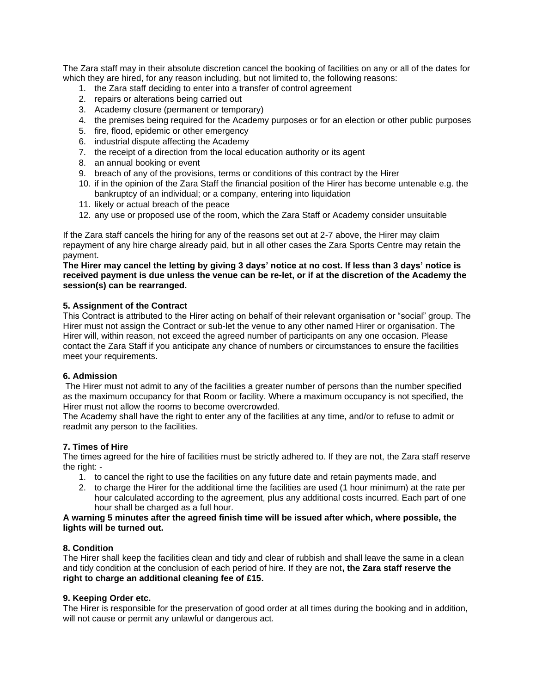The Zara staff may in their absolute discretion cancel the booking of facilities on any or all of the dates for which they are hired, for any reason including, but not limited to, the following reasons:

- 1. the Zara staff deciding to enter into a transfer of control agreement
- 2. repairs or alterations being carried out
- 3. Academy closure (permanent or temporary)
- 4. the premises being required for the Academy purposes or for an election or other public purposes
- 5. fire, flood, epidemic or other emergency
- 6. industrial dispute affecting the Academy
- 7. the receipt of a direction from the local education authority or its agent
- 8. an annual booking or event
- 9. breach of any of the provisions, terms or conditions of this contract by the Hirer
- 10. if in the opinion of the Zara Staff the financial position of the Hirer has become untenable e.g. the bankruptcy of an individual; or a company, entering into liquidation
- 11. likely or actual breach of the peace
- 12. any use or proposed use of the room, which the Zara Staff or Academy consider unsuitable

If the Zara staff cancels the hiring for any of the reasons set out at 2-7 above, the Hirer may claim repayment of any hire charge already paid, but in all other cases the Zara Sports Centre may retain the payment.

#### **The Hirer may cancel the letting by giving 3 days' notice at no cost. If less than 3 days' notice is received payment is due unless the venue can be re-let, or if at the discretion of the Academy the session(s) can be rearranged.**

#### **5. Assignment of the Contract**

This Contract is attributed to the Hirer acting on behalf of their relevant organisation or "social" group. The Hirer must not assign the Contract or sub-let the venue to any other named Hirer or organisation. The Hirer will, within reason, not exceed the agreed number of participants on any one occasion. Please contact the Zara Staff if you anticipate any chance of numbers or circumstances to ensure the facilities meet your requirements.

#### **6. Admission**

The Hirer must not admit to any of the facilities a greater number of persons than the number specified as the maximum occupancy for that Room or facility. Where a maximum occupancy is not specified, the Hirer must not allow the rooms to become overcrowded.

The Academy shall have the right to enter any of the facilities at any time, and/or to refuse to admit or readmit any person to the facilities.

#### **7. Times of Hire**

The times agreed for the hire of facilities must be strictly adhered to. If they are not, the Zara staff reserve the right: -

- 1. to cancel the right to use the facilities on any future date and retain payments made, and
- 2. to charge the Hirer for the additional time the facilities are used (1 hour minimum) at the rate per hour calculated according to the agreement, plus any additional costs incurred. Each part of one hour shall be charged as a full hour.

#### **A warning 5 minutes after the agreed finish time will be issued after which, where possible, the lights will be turned out.**

#### **8. Condition**

The Hirer shall keep the facilities clean and tidy and clear of rubbish and shall leave the same in a clean and tidy condition at the conclusion of each period of hire. If they are not**, the Zara staff reserve the right to charge an additional cleaning fee of £15.**

#### **9. Keeping Order etc.**

The Hirer is responsible for the preservation of good order at all times during the booking and in addition, will not cause or permit any unlawful or dangerous act.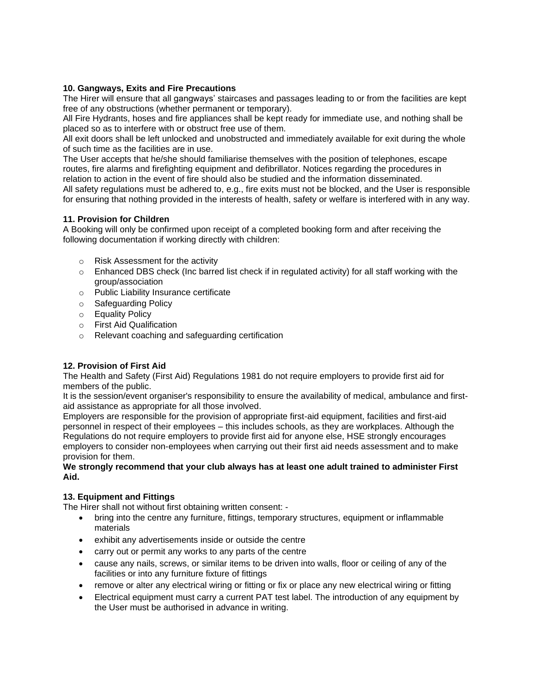# **10. Gangways, Exits and Fire Precautions**

The Hirer will ensure that all gangways' staircases and passages leading to or from the facilities are kept free of any obstructions (whether permanent or temporary).

All Fire Hydrants, hoses and fire appliances shall be kept ready for immediate use, and nothing shall be placed so as to interfere with or obstruct free use of them.

All exit doors shall be left unlocked and unobstructed and immediately available for exit during the whole of such time as the facilities are in use.

The User accepts that he/she should familiarise themselves with the position of telephones, escape routes, fire alarms and firefighting equipment and defibrillator. Notices regarding the procedures in relation to action in the event of fire should also be studied and the information disseminated. All safety regulations must be adhered to, e.g., fire exits must not be blocked, and the User is responsible for ensuring that nothing provided in the interests of health, safety or welfare is interfered with in any way.

# **11. Provision for Children**

A Booking will only be confirmed upon receipt of a completed booking form and after receiving the following documentation if working directly with children:

- o Risk Assessment for the activity
- $\circ$  Enhanced DBS check (Inc barred list check if in regulated activity) for all staff working with the group/association
- o Public Liability Insurance certificate
- o Safeguarding Policy
- o Equality Policy
- o First Aid Qualification
- o Relevant coaching and safeguarding certification

# **12. Provision of First Aid**

The Health and Safety (First Aid) Regulations 1981 do not require employers to provide first aid for members of the public.

It is the session/event organiser's responsibility to ensure the availability of medical, ambulance and firstaid assistance as appropriate for all those involved.

Employers are responsible for the provision of appropriate first-aid equipment, facilities and first-aid personnel in respect of their employees – this includes schools, as they are workplaces. Although the Regulations do not require employers to provide first aid for anyone else, HSE strongly encourages employers to consider non-employees when carrying out their first aid needs assessment and to make provision for them.

#### **We strongly recommend that your club always has at least one adult trained to administer First Aid.**

# **13. Equipment and Fittings**

The Hirer shall not without first obtaining written consent: -

- bring into the centre any furniture, fittings, temporary structures, equipment or inflammable materials
- exhibit any advertisements inside or outside the centre
- carry out or permit any works to any parts of the centre
- cause any nails, screws, or similar items to be driven into walls, floor or ceiling of any of the facilities or into any furniture fixture of fittings
- remove or alter any electrical wiring or fitting or fix or place any new electrical wiring or fitting
- Electrical equipment must carry a current PAT test label. The introduction of any equipment by the User must be authorised in advance in writing.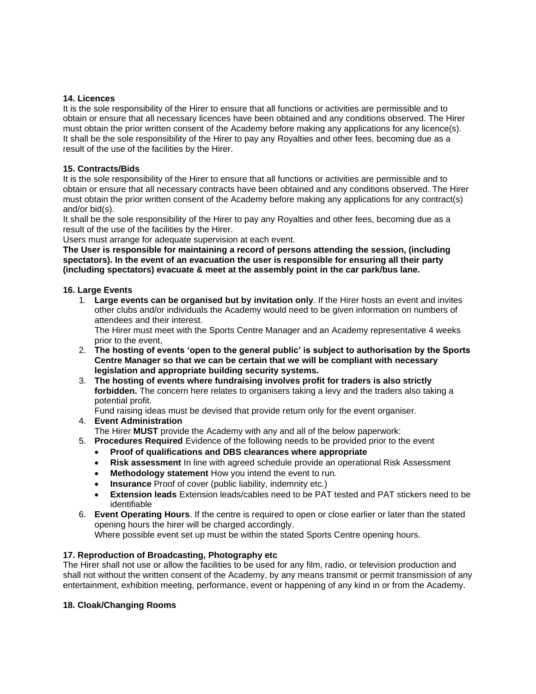#### **14. Licences**

It is the sole responsibility of the Hirer to ensure that all functions or activities are permissible and to obtain or ensure that all necessary licences have been obtained and any conditions observed. The Hirer must obtain the prior written consent of the Academy before making any applications for any licence(s). It shall be the sole responsibility of the Hirer to pay any Royalties and other fees, becoming due as a result of the use of the facilities by the Hirer.

#### **15. Contracts/Bids**

It is the sole responsibility of the Hirer to ensure that all functions or activities are permissible and to obtain or ensure that all necessary contracts have been obtained and any conditions observed. The Hirer must obtain the prior written consent of the Academy before making any applications for any contract(s) and/or bid(s).

It shall be the sole responsibility of the Hirer to pay any Royalties and other fees, becoming due as a result of the use of the facilities by the Hirer.

Users must arrange for adequate supervision at each event.

**The User is responsible for maintaining a record of persons attending the session, (including spectators). In the event of an evacuation the user is responsible for ensuring all their party (including spectators) evacuate & meet at the assembly point in the car park/bus lane.**

#### **16. Large Events**

1. **Large events can be organised but by invitation only**. If the Hirer hosts an event and invites other clubs and/or individuals the Academy would need to be given information on numbers of attendees and their interest.

The Hirer must meet with the Sports Centre Manager and an Academy representative 4 weeks prior to the event,

- 2. **The hosting of events 'open to the general public' is subject to authorisation by the Sports Centre Manager so that we can be certain that we will be compliant with necessary legislation and appropriate building security systems.**
- 3. **The hosting of events where fundraising involves profit for traders is also strictly forbidden.** The concern here relates to organisers taking a levy and the traders also taking a potential profit.

Fund raising ideas must be devised that provide return only for the event organiser.

- 4. **Event Administration** 
	- The Hirer **MUST** provide the Academy with any and all of the below paperwork:
- 5. **Procedures Required** Evidence of the following needs to be provided prior to the event
	- **Proof of qualifications and DBS clearances where appropriate**
	- **Risk assessment** In line with agreed schedule provide an operational Risk Assessment
	- **Methodology statement** How you intend the event to run.
	- **Insurance** Proof of cover (public liability, indemnity etc.)
	- **Extension leads** Extension leads/cables need to be PAT tested and PAT stickers need to be identifiable
- 6. **Event Operating Hours**. If the centre is required to open or close earlier or later than the stated opening hours the hirer will be charged accordingly.

Where possible event set up must be within the stated Sports Centre opening hours.

# **17. Reproduction of Broadcasting, Photography etc**

The Hirer shall not use or allow the facilities to be used for any film, radio, or television production and shall not without the written consent of the Academy, by any means transmit or permit transmission of any entertainment, exhibition meeting, performance, event or happening of any kind in or from the Academy.

# **18. Cloak/Changing Rooms**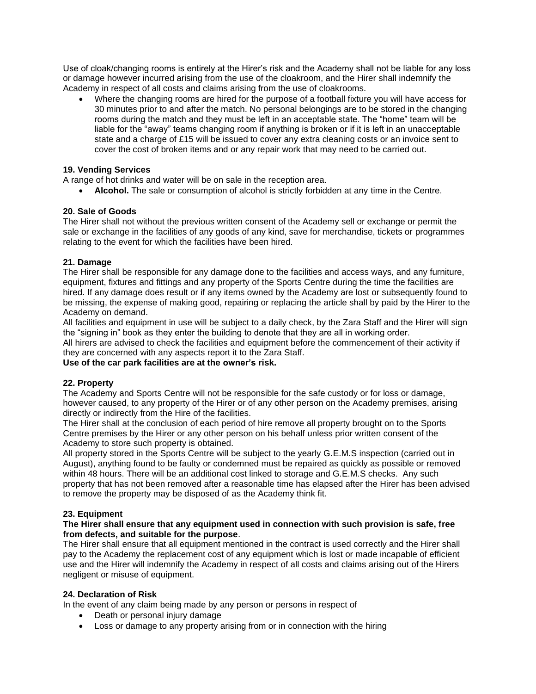Use of cloak/changing rooms is entirely at the Hirer's risk and the Academy shall not be liable for any loss or damage however incurred arising from the use of the cloakroom, and the Hirer shall indemnify the Academy in respect of all costs and claims arising from the use of cloakrooms.

• Where the changing rooms are hired for the purpose of a football fixture you will have access for 30 minutes prior to and after the match. No personal belongings are to be stored in the changing rooms during the match and they must be left in an acceptable state. The "home" team will be liable for the "away" teams changing room if anything is broken or if it is left in an unacceptable state and a charge of £15 will be issued to cover any extra cleaning costs or an invoice sent to cover the cost of broken items and or any repair work that may need to be carried out.

### **19. Vending Services**

A range of hot drinks and water will be on sale in the reception area.

• **Alcohol.** The sale or consumption of alcohol is strictly forbidden at any time in the Centre.

#### **20. Sale of Goods**

The Hirer shall not without the previous written consent of the Academy sell or exchange or permit the sale or exchange in the facilities of any goods of any kind, save for merchandise, tickets or programmes relating to the event for which the facilities have been hired.

#### **21. Damage**

The Hirer shall be responsible for any damage done to the facilities and access ways, and any furniture, equipment, fixtures and fittings and any property of the Sports Centre during the time the facilities are hired. If any damage does result or if any items owned by the Academy are lost or subsequently found to be missing, the expense of making good, repairing or replacing the article shall by paid by the Hirer to the Academy on demand.

All facilities and equipment in use will be subject to a daily check, by the Zara Staff and the Hirer will sign the "signing in" book as they enter the building to denote that they are all in working order.

All hirers are advised to check the facilities and equipment before the commencement of their activity if they are concerned with any aspects report it to the Zara Staff.

#### **Use of the car park facilities are at the owner's risk.**

# **22. Property**

The Academy and Sports Centre will not be responsible for the safe custody or for loss or damage, however caused, to any property of the Hirer or of any other person on the Academy premises, arising directly or indirectly from the Hire of the facilities.

The Hirer shall at the conclusion of each period of hire remove all property brought on to the Sports Centre premises by the Hirer or any other person on his behalf unless prior written consent of the Academy to store such property is obtained.

All property stored in the Sports Centre will be subject to the yearly G.E.M.S inspection (carried out in August), anything found to be faulty or condemned must be repaired as quickly as possible or removed within 48 hours. There will be an additional cost linked to storage and G.E.M.S checks. Any such property that has not been removed after a reasonable time has elapsed after the Hirer has been advised to remove the property may be disposed of as the Academy think fit.

# **23. Equipment**

#### **The Hirer shall ensure that any equipment used in connection with such provision is safe, free from defects, and suitable for the purpose**.

The Hirer shall ensure that all equipment mentioned in the contract is used correctly and the Hirer shall pay to the Academy the replacement cost of any equipment which is lost or made incapable of efficient use and the Hirer will indemnify the Academy in respect of all costs and claims arising out of the Hirers negligent or misuse of equipment.

#### **24. Declaration of Risk**

In the event of any claim being made by any person or persons in respect of

- Death or personal injury damage
- Loss or damage to any property arising from or in connection with the hiring